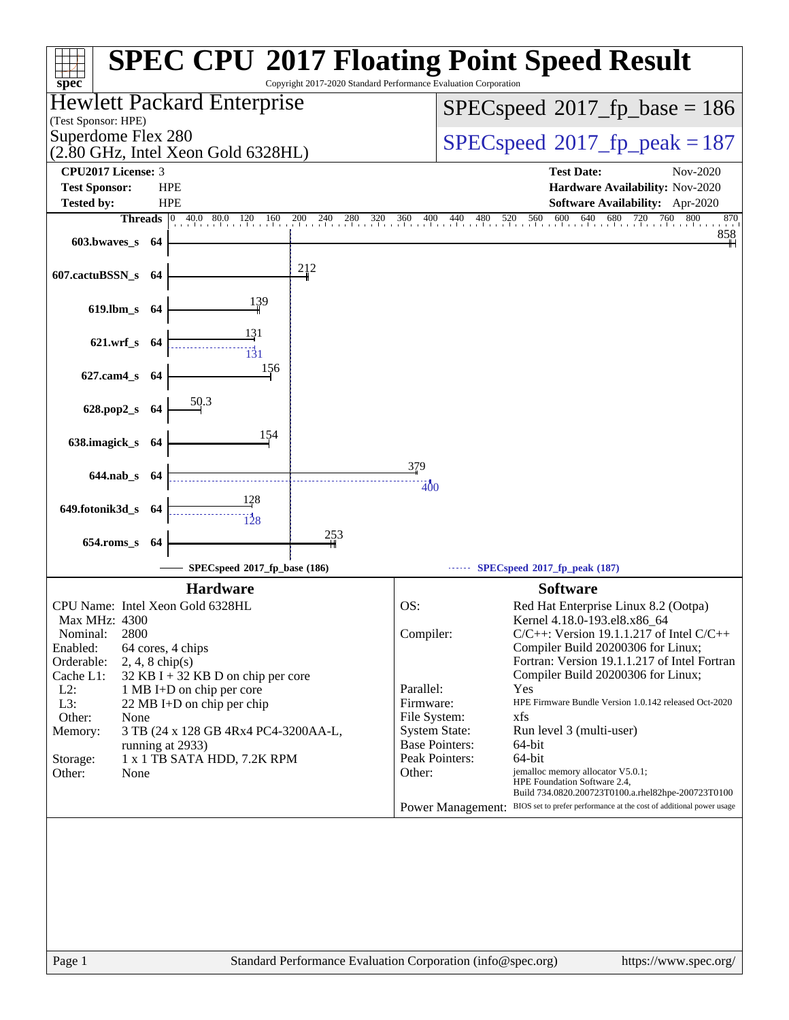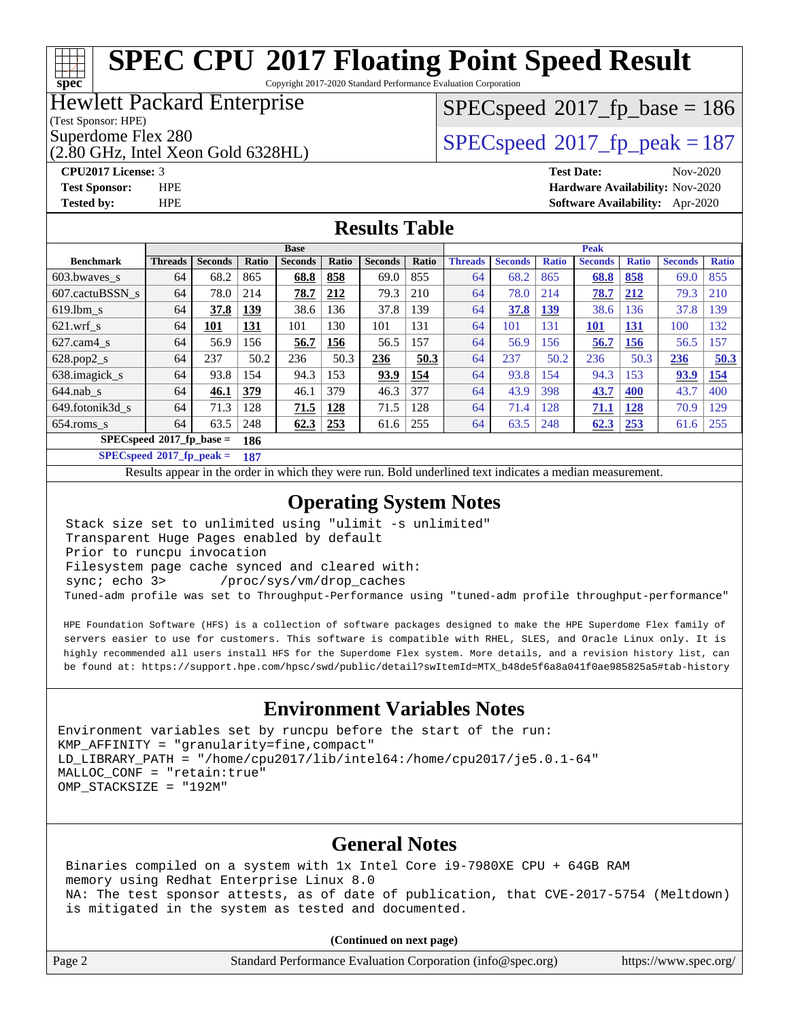Copyright 2017-2020 Standard Performance Evaluation Corporation

#### Hewlett Packard Enterprise

(Test Sponsor: HPE)

**[spec](http://www.spec.org/)**

(2.80 GHz, Intel Xeon Gold 6328HL)

[SPECspeed](http://www.spec.org/auto/cpu2017/Docs/result-fields.html#SPECspeed2017fpbase)<sup>®</sup>2017 fp base = 186

Superdome Flex 280<br>  $SPEC speed^{\circ}2017$  fp\_peak = 187

**[CPU2017 License:](http://www.spec.org/auto/cpu2017/Docs/result-fields.html#CPU2017License)** 3 **[Test Date:](http://www.spec.org/auto/cpu2017/Docs/result-fields.html#TestDate)** Nov-2020 **[Test Sponsor:](http://www.spec.org/auto/cpu2017/Docs/result-fields.html#TestSponsor)** HPE **[Hardware Availability:](http://www.spec.org/auto/cpu2017/Docs/result-fields.html#HardwareAvailability)** Nov-2020 **[Tested by:](http://www.spec.org/auto/cpu2017/Docs/result-fields.html#Testedby)** HPE **[Software Availability:](http://www.spec.org/auto/cpu2017/Docs/result-fields.html#SoftwareAvailability)** Apr-2020

#### **[Results Table](http://www.spec.org/auto/cpu2017/Docs/result-fields.html#ResultsTable)**

|                          | <b>Base</b>    |                |       |                |       | <b>Peak</b>    |       |                |                |              |                |              |                |              |
|--------------------------|----------------|----------------|-------|----------------|-------|----------------|-------|----------------|----------------|--------------|----------------|--------------|----------------|--------------|
| <b>Benchmark</b>         | <b>Threads</b> | <b>Seconds</b> | Ratio | <b>Seconds</b> | Ratio | <b>Seconds</b> | Ratio | <b>Threads</b> | <b>Seconds</b> | <b>Ratio</b> | <b>Seconds</b> | <b>Ratio</b> | <b>Seconds</b> | <b>Ratio</b> |
| 603.bwaves_s             | 64             | 68.2           | 865   | 68.8           | 858   | 69.0           | 855   | 64             | 68.2           | 865          | 68.8           | 858          | 69.0           | 855          |
| 607.cactuBSSN s          | 64             | 78.0           | 214   | <u>78.7</u>    | 212   | 79.3           | 210   | 64             | 78.0           | 214          | 78.7           | 212          | 79.3           | 210          |
| $619.1$ bm s             | 64             | 37.8           | 139   | 38.6           | 136   | 37.8           | 139   | 64             | 37.8           | <u>139</u>   | 38.6           | 136          | 37.8           | 139          |
| $621$ .wrf s             | 64             | 101            | 131   | 101            | 130   | 101            | 131   | 64             | 101            | 131          | 101            | <u>131</u>   | 100            | 132          |
| $627$ .cam4 s            | 64             | 56.9           | l 56  | 56.7           | 156   | 56.5           | 157   | 64             | 56.9           | 156          | 56.7           | 156          | 56.5           | 157          |
| $628.pop2_s$             | 64             | 237            | 50.2  | 236            | 50.3  | 236            | 50.3  | 64             | 237            | 50.2         | 236            | 50.3         | 236            | 50.3         |
| 638.imagick_s            | 64             | 93.8           | 154   | 94.3           | 153   | 93.9           | 154   | 64             | 93.8           | 154          | 94.3           | 153          | 93.9           | 154          |
| $644$ .nab s             | 64             | 46.1           | 379   | 46.1           | 379   | 46.3           | 377   | 64             | 43.9           | 398          | 43.7           | 400          | 43.7           | 400          |
| 649.fotonik3d s          | 64             | 71.3           | 128   | 71.5           | 128   | 71.5           | 128   | 64             | 71.4           | 128          | 71.1           | <u>128</u>   | 70.9           | 129          |
| $654$ .roms_s            | 64             | 63.5           | 248   | 62.3           | 253   | 61.6           | 255   | 64             | 63.5           | 248          | 62.3           | 253          | 61.6           | 255          |
| SPECspeed®2017_fp_base = |                |                | 186   |                |       |                |       |                |                |              |                |              |                |              |

**[SPECspeed](http://www.spec.org/auto/cpu2017/Docs/result-fields.html#SPECspeed2017fppeak)[2017\\_fp\\_peak =](http://www.spec.org/auto/cpu2017/Docs/result-fields.html#SPECspeed2017fppeak) 187**

Results appear in the [order in which they were run.](http://www.spec.org/auto/cpu2017/Docs/result-fields.html#RunOrder) Bold underlined text [indicates a median measurement](http://www.spec.org/auto/cpu2017/Docs/result-fields.html#Median).

#### **[Operating System Notes](http://www.spec.org/auto/cpu2017/Docs/result-fields.html#OperatingSystemNotes)**

 Stack size set to unlimited using "ulimit -s unlimited" Transparent Huge Pages enabled by default Prior to runcpu invocation Filesystem page cache synced and cleared with: sync; echo 3> /proc/sys/vm/drop\_caches Tuned-adm profile was set to Throughput-Performance using "tuned-adm profile throughput-performance"

 HPE Foundation Software (HFS) is a collection of software packages designed to make the HPE Superdome Flex family of servers easier to use for customers. This software is compatible with RHEL, SLES, and Oracle Linux only. It is highly recommended all users install HFS for the Superdome Flex system. More details, and a revision history list, can be found at: [https://support.hpe.com/hpsc/swd/public/detail?swItemId=MTX\\_b48de5f6a8a041f0ae985825a5#tab-history](https://support.hpe.com/hpsc/swd/public/detail?swItemId=MTX_b48de5f6a8a041f0ae985825a5#tab-history)

#### **[Environment Variables Notes](http://www.spec.org/auto/cpu2017/Docs/result-fields.html#EnvironmentVariablesNotes)**

Environment variables set by runcpu before the start of the run: KMP\_AFFINITY = "granularity=fine,compact" LD\_LIBRARY\_PATH = "/home/cpu2017/lib/intel64:/home/cpu2017/je5.0.1-64" MALLOC\_CONF = "retain:true" OMP\_STACKSIZE = "192M"

#### **[General Notes](http://www.spec.org/auto/cpu2017/Docs/result-fields.html#GeneralNotes)**

 Binaries compiled on a system with 1x Intel Core i9-7980XE CPU + 64GB RAM memory using Redhat Enterprise Linux 8.0 NA: The test sponsor attests, as of date of publication, that CVE-2017-5754 (Meltdown) is mitigated in the system as tested and documented.

**(Continued on next page)**

| Page 2 | Standard Performance Evaluation Corporation (info@spec.org) | https://www.spec.org/ |
|--------|-------------------------------------------------------------|-----------------------|
|--------|-------------------------------------------------------------|-----------------------|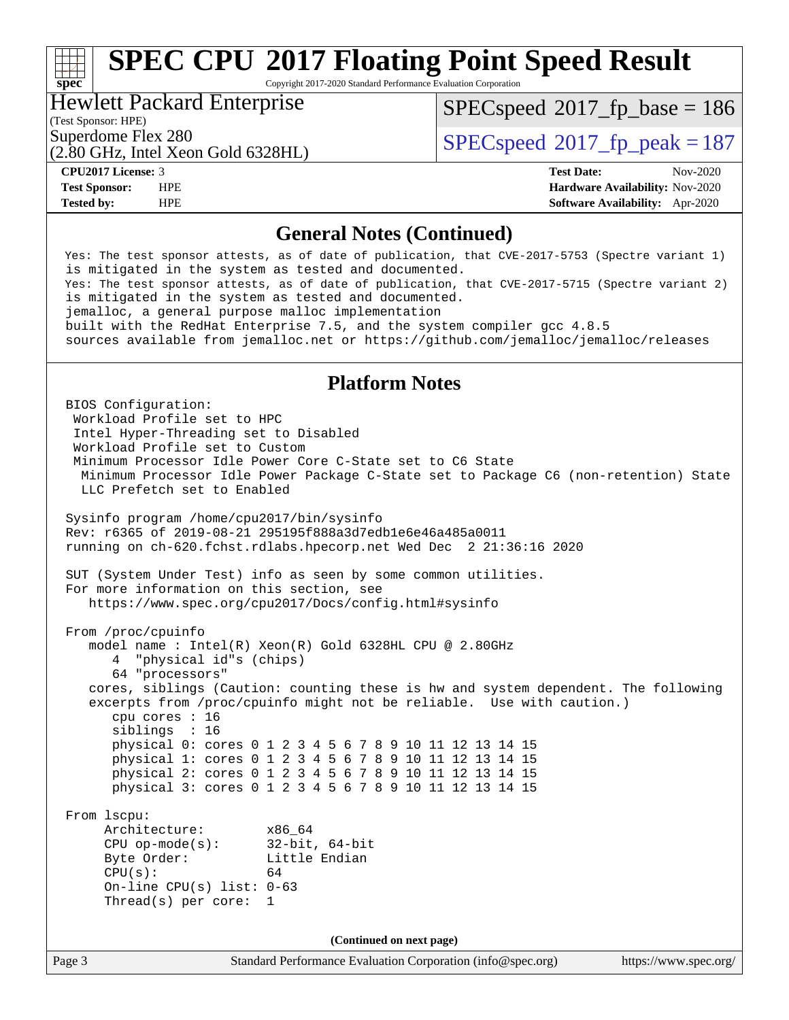Copyright 2017-2020 Standard Performance Evaluation Corporation

#### Hewlett Packard Enterprise

[SPECspeed](http://www.spec.org/auto/cpu2017/Docs/result-fields.html#SPECspeed2017fpbase)<sup>®</sup>2017 fp base = 186

### (Test Sponsor: HPE)

(2.80 GHz, Intel Xeon Gold 6328HL)

Superdome Flex 280<br>  $SPEC speed^{\circ}2017$  fp\_peak = 187

**[spec](http://www.spec.org/)**

**[CPU2017 License:](http://www.spec.org/auto/cpu2017/Docs/result-fields.html#CPU2017License)** 3 **[Test Date:](http://www.spec.org/auto/cpu2017/Docs/result-fields.html#TestDate)** Nov-2020 **[Test Sponsor:](http://www.spec.org/auto/cpu2017/Docs/result-fields.html#TestSponsor)** HPE **[Hardware Availability:](http://www.spec.org/auto/cpu2017/Docs/result-fields.html#HardwareAvailability)** Nov-2020 **[Tested by:](http://www.spec.org/auto/cpu2017/Docs/result-fields.html#Testedby)** HPE **[Software Availability:](http://www.spec.org/auto/cpu2017/Docs/result-fields.html#SoftwareAvailability)** Apr-2020

#### **[General Notes \(Continued\)](http://www.spec.org/auto/cpu2017/Docs/result-fields.html#GeneralNotes)**

 Yes: The test sponsor attests, as of date of publication, that CVE-2017-5753 (Spectre variant 1) is mitigated in the system as tested and documented. Yes: The test sponsor attests, as of date of publication, that CVE-2017-5715 (Spectre variant 2) is mitigated in the system as tested and documented. jemalloc, a general purpose malloc implementation built with the RedHat Enterprise 7.5, and the system compiler gcc 4.8.5 sources available from jemalloc.net or<https://github.com/jemalloc/jemalloc/releases> **[Platform Notes](http://www.spec.org/auto/cpu2017/Docs/result-fields.html#PlatformNotes)** BIOS Configuration: Workload Profile set to HPC Intel Hyper-Threading set to Disabled Workload Profile set to Custom Minimum Processor Idle Power Core C-State set to C6 State Minimum Processor Idle Power Package C-State set to Package C6 (non-retention) State LLC Prefetch set to Enabled Sysinfo program /home/cpu2017/bin/sysinfo Rev: r6365 of 2019-08-21 295195f888a3d7edb1e6e46a485a0011 running on ch-620.fchst.rdlabs.hpecorp.net Wed Dec 2 21:36:16 2020 SUT (System Under Test) info as seen by some common utilities. For more information on this section, see <https://www.spec.org/cpu2017/Docs/config.html#sysinfo> From /proc/cpuinfo model name : Intel(R) Xeon(R) Gold 6328HL CPU @ 2.80GHz 4 "physical id"s (chips) 64 "processors" cores, siblings (Caution: counting these is hw and system dependent. The following excerpts from /proc/cpuinfo might not be reliable. Use with caution.) cpu cores : 16 siblings : 16 physical 0: cores 0 1 2 3 4 5 6 7 8 9 10 11 12 13 14 15 physical 1: cores 0 1 2 3 4 5 6 7 8 9 10 11 12 13 14 15 physical 2: cores 0 1 2 3 4 5 6 7 8 9 10 11 12 13 14 15 physical 3: cores 0 1 2 3 4 5 6 7 8 9 10 11 12 13 14 15 From lscpu: Architecture: x86\_64 CPU op-mode(s): 32-bit, 64-bit Byte Order: Little Endian  $CPU(s):$  64 On-line CPU(s) list: 0-63 Thread(s) per core: 1 **(Continued on next page)**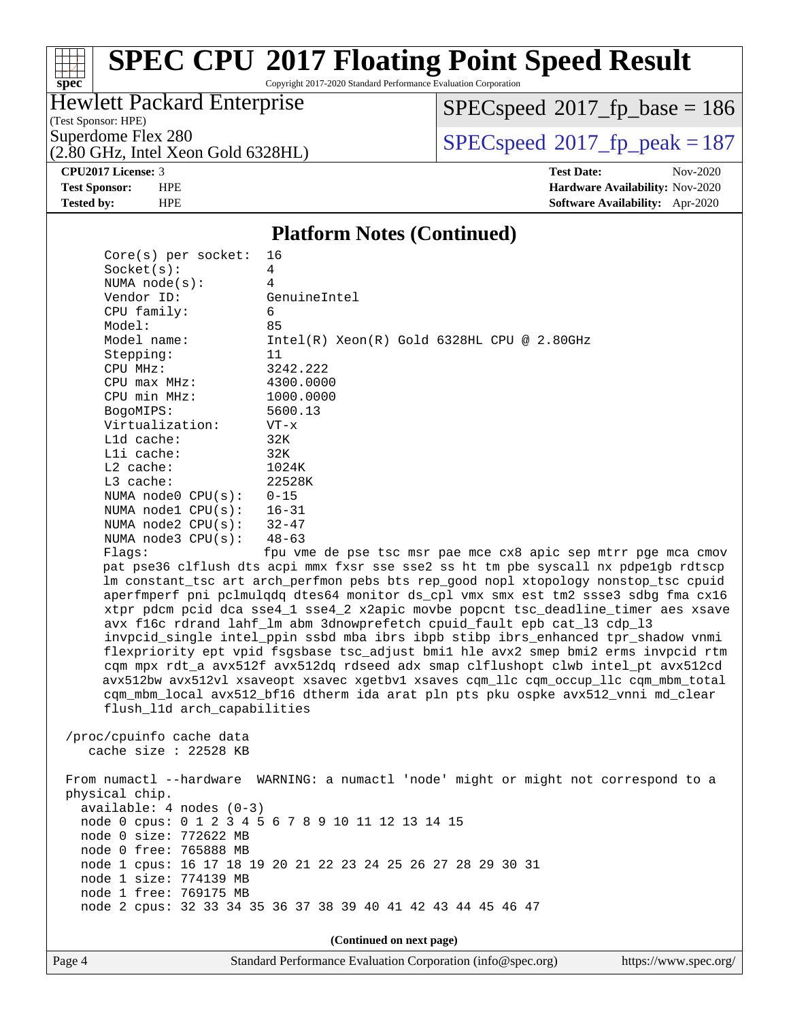Copyright 2017-2020 Standard Performance Evaluation Corporation

### Hewlett Packard Enterprise

(Test Sponsor: HPE)

 $SPECspeed*2017_fp\_base = 186$  $SPECspeed*2017_fp\_base = 186$ 

(2.80 GHz, Intel Xeon Gold 6328HL)

Superdome Flex 280<br>  $(2.80 \text{ GHz})$  [SPECspeed](http://www.spec.org/auto/cpu2017/Docs/result-fields.html#SPECspeed2017fppeak)®[2017\\_fp\\_peak = 1](http://www.spec.org/auto/cpu2017/Docs/result-fields.html#SPECspeed2017fppeak)87

**[CPU2017 License:](http://www.spec.org/auto/cpu2017/Docs/result-fields.html#CPU2017License)** 3 **[Test Date:](http://www.spec.org/auto/cpu2017/Docs/result-fields.html#TestDate)** Nov-2020 **[Test Sponsor:](http://www.spec.org/auto/cpu2017/Docs/result-fields.html#TestSponsor)** HPE **[Hardware Availability:](http://www.spec.org/auto/cpu2017/Docs/result-fields.html#HardwareAvailability)** Nov-2020 **[Tested by:](http://www.spec.org/auto/cpu2017/Docs/result-fields.html#Testedby)** HPE **[Software Availability:](http://www.spec.org/auto/cpu2017/Docs/result-fields.html#SoftwareAvailability)** Apr-2020

#### **[Platform Notes \(Continued\)](http://www.spec.org/auto/cpu2017/Docs/result-fields.html#PlatformNotes)**

| $Core(s)$ per socket:       | 16                                                                                   |
|-----------------------------|--------------------------------------------------------------------------------------|
| Socket(s):                  | 4                                                                                    |
| NUMA $node(s)$ :            | 4                                                                                    |
| Vendor ID:                  | GenuineIntel                                                                         |
| CPU family:                 | 6                                                                                    |
| Model:                      | 85                                                                                   |
| Model name:                 | $Intel(R) Xeon(R) Gold 6328HL CPU @ 2.80GHz$                                         |
| Stepping:                   | 11                                                                                   |
| CPU MHz:                    | 3242.222                                                                             |
| CPU max MHz:                | 4300.0000                                                                            |
| CPU min MHz:                | 1000.0000                                                                            |
| BogoMIPS:                   | 5600.13                                                                              |
| Virtualization:             | $VT - x$                                                                             |
| $L1d$ cache:                | 32K                                                                                  |
| Lli cache:                  | 32K                                                                                  |
| $L2$ cache:                 | 1024K                                                                                |
| $L3$ cache:                 | 22528K                                                                               |
| NUMA $node0$ $CPU(s):$      | $0 - 15$                                                                             |
| NUMA $node1$ $CPU(s):$      | $16 - 31$                                                                            |
| NUMA node2 $CPU(s):$ 32-47  |                                                                                      |
| NUMA node3 CPU(s):          | $48 - 63$                                                                            |
| Flags:                      | fpu vme de pse tsc msr pae mce cx8 apic sep mtrr pge mca cmov                        |
|                             | pat pse36 clflush dts acpi mmx fxsr sse sse2 ss ht tm pbe syscall nx pdpelgb rdtscp  |
|                             | lm constant_tsc art arch_perfmon pebs bts rep_good nopl xtopology nonstop_tsc cpuid  |
|                             | aperfmperf pni pclmulqdq dtes64 monitor ds_cpl vmx smx est tm2 ssse3 sdbg fma cx16   |
|                             | xtpr pdcm pcid dca sse4_1 sse4_2 x2apic movbe popcnt tsc_deadline_timer aes xsave    |
|                             | avx f16c rdrand lahf_lm abm 3dnowprefetch cpuid_fault epb cat_13 cdp_13              |
|                             | invpcid_single intel_ppin ssbd mba ibrs ibpb stibp ibrs_enhanced tpr_shadow vnmi     |
|                             | flexpriority ept vpid fsgsbase tsc_adjust bmil hle avx2 smep bmi2 erms invpcid rtm   |
|                             | cqm mpx rdt_a avx512f avx512dq rdseed adx smap clflushopt clwb intel_pt avx512cd     |
|                             | avx512bw avx512vl xsaveopt xsavec xgetbvl xsaves cqm_llc cqm_occup_llc cqm_mbm_total |
|                             | cqm_mbm_local avx512_bf16 dtherm ida arat pln pts pku ospke avx512_vnni md_clear     |
| flush_l1d arch_capabilities |                                                                                      |
|                             |                                                                                      |
| /proc/cpuinfo cache data    |                                                                                      |
| cache size $: 22528$ KB     |                                                                                      |
|                             | From numactl --hardware WARNING: a numactl 'node' might or might not correspond to a |
| physical chip.              |                                                                                      |
| $available: 4 nodes (0-3)$  |                                                                                      |
|                             | node 0 cpus: 0 1 2 3 4 5 6 7 8 9 10 11 12 13 14 15                                   |
| node 0 size: 772622 MB      |                                                                                      |
| node 0 free: 765888 MB      |                                                                                      |
|                             | node 1 cpus: 16 17 18 19 20 21 22 23 24 25 26 27 28 29 30 31                         |
| node 1 size: 774139 MB      |                                                                                      |
| node 1 free: 769175 MB      |                                                                                      |
|                             | node 2 cpus: 32 33 34 35 36 37 38 39 40 41 42 43 44 45 46 47                         |
|                             |                                                                                      |
|                             |                                                                                      |
|                             | (Continued on next page)                                                             |

Page 4 Standard Performance Evaluation Corporation [\(info@spec.org\)](mailto:info@spec.org) <https://www.spec.org/>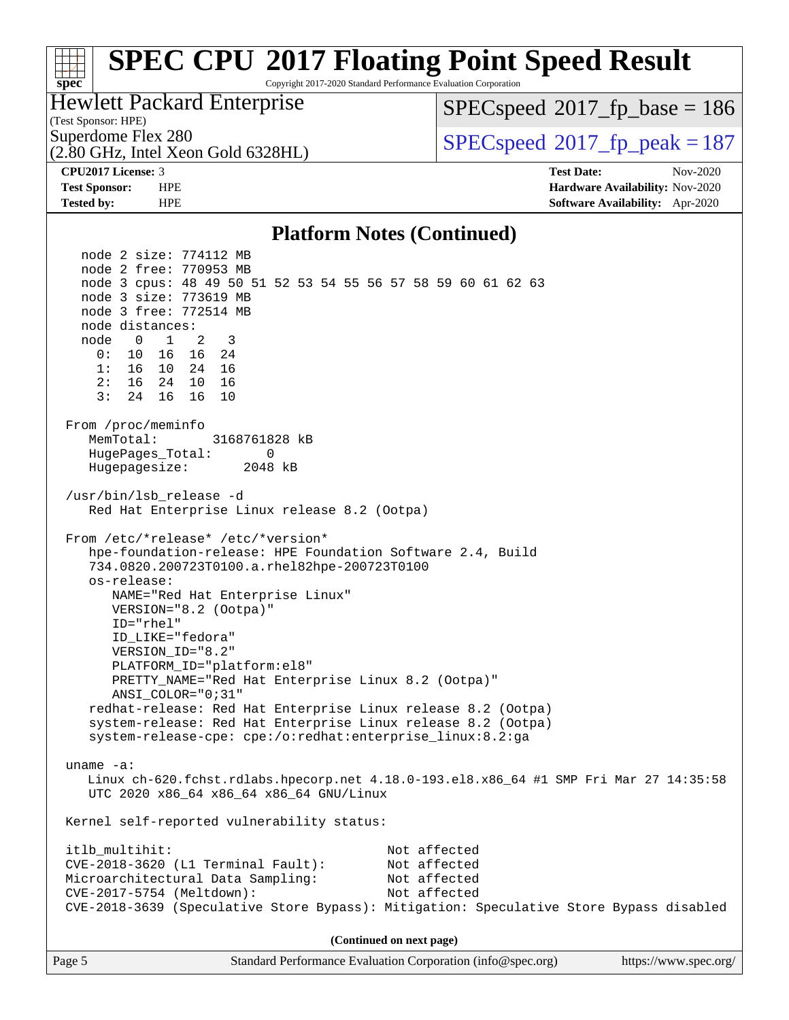#### **[spec](http://www.spec.org/) [SPEC CPU](http://www.spec.org/auto/cpu2017/Docs/result-fields.html#SPECCPU2017FloatingPointSpeedResult)[2017 Floating Point Speed Result](http://www.spec.org/auto/cpu2017/Docs/result-fields.html#SPECCPU2017FloatingPointSpeedResult)** Copyright 2017-2020 Standard Performance Evaluation Corporation (Test Sponsor: HPE) Hewlett Packard Enterprise (2.80 GHz, Intel Xeon Gold 6328HL) Superdome Flex 280<br>  $SPEC speed^{\circ}2017$  fp\_peak = 187 [SPECspeed](http://www.spec.org/auto/cpu2017/Docs/result-fields.html#SPECspeed2017fpbase)<sup>®</sup>2017 fp base = 186 **[CPU2017 License:](http://www.spec.org/auto/cpu2017/Docs/result-fields.html#CPU2017License)** 3 **[Test Date:](http://www.spec.org/auto/cpu2017/Docs/result-fields.html#TestDate)** Nov-2020 **[Test Sponsor:](http://www.spec.org/auto/cpu2017/Docs/result-fields.html#TestSponsor)** HPE **[Hardware Availability:](http://www.spec.org/auto/cpu2017/Docs/result-fields.html#HardwareAvailability)** Nov-2020 **[Tested by:](http://www.spec.org/auto/cpu2017/Docs/result-fields.html#Testedby)** HPE **[Software Availability:](http://www.spec.org/auto/cpu2017/Docs/result-fields.html#SoftwareAvailability)** Apr-2020 **[Platform Notes \(Continued\)](http://www.spec.org/auto/cpu2017/Docs/result-fields.html#PlatformNotes)** node 2 size: 774112 MB node 2 free: 770953 MB node 3 cpus: 48 49 50 51 52 53 54 55 56 57 58 59 60 61 62 63 node 3 size: 773619 MB node 3 free: 772514 MB node distances: node 0 1 2 3 0: 10 16 16 24 1: 16 10 24 16 2: 16 24 10 16 3: 24 16 16 10 From /proc/meminfo MemTotal: 3168761828 kB HugePages\_Total: 0 Hugepagesize: 2048 kB /usr/bin/lsb\_release -d Red Hat Enterprise Linux release 8.2 (Ootpa) From /etc/\*release\* /etc/\*version\* hpe-foundation-release: HPE Foundation Software 2.4, Build 734.0820.200723T0100.a.rhel82hpe-200723T0100 os-release: NAME="Red Hat Enterprise Linux" VERSION="8.2 (Ootpa)" ID="rhel" ID\_LIKE="fedora" VERSION\_ID="8.2" PLATFORM\_ID="platform:el8" PRETTY\_NAME="Red Hat Enterprise Linux 8.2 (Ootpa)" ANSI\_COLOR="0;31" redhat-release: Red Hat Enterprise Linux release 8.2 (Ootpa) system-release: Red Hat Enterprise Linux release 8.2 (Ootpa) system-release-cpe: cpe:/o:redhat:enterprise\_linux:8.2:ga uname -a: Linux ch-620.fchst.rdlabs.hpecorp.net 4.18.0-193.el8.x86\_64 #1 SMP Fri Mar 27 14:35:58 UTC 2020 x86\_64 x86\_64 x86\_64 GNU/Linux Kernel self-reported vulnerability status: itlb\_multihit: Not affected CVE-2018-3620 (L1 Terminal Fault): Not affected Microarchitectural Data Sampling: Not affected CVE-2017-5754 (Meltdown): Not affected CVE-2018-3639 (Speculative Store Bypass): Mitigation: Speculative Store Bypass disabled **(Continued on next page)**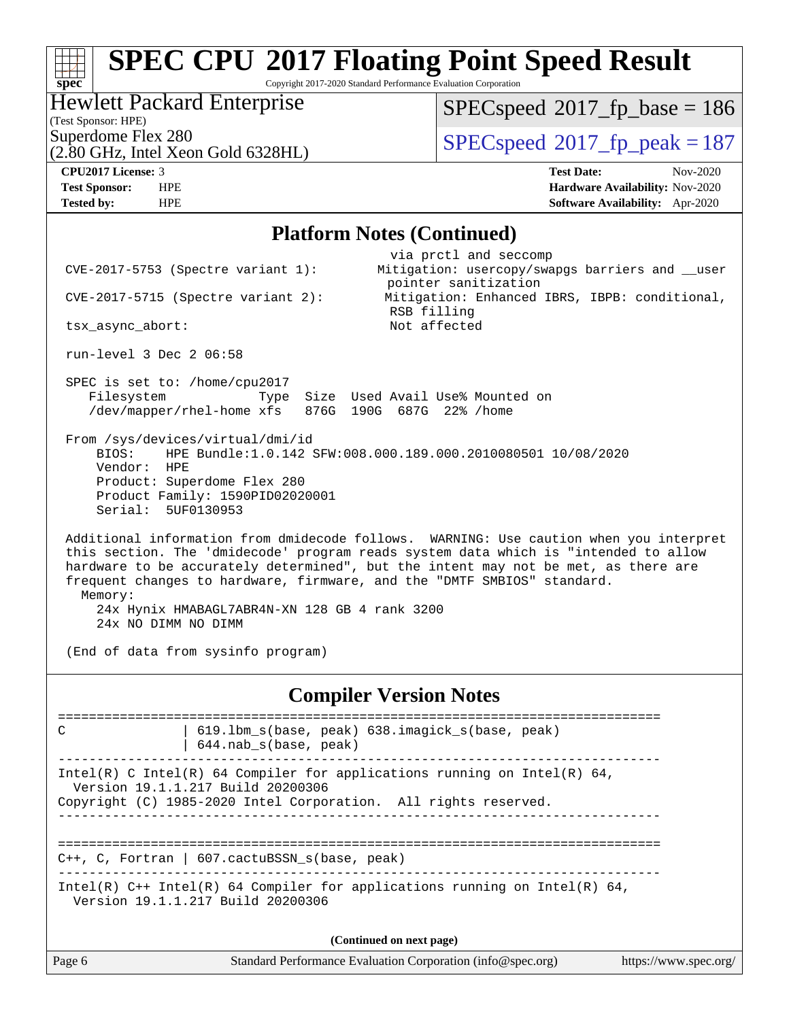Copyright 2017-2020 Standard Performance Evaluation Corporation

#### Hewlett Packard Enterprise

(Test Sponsor: HPE)

 $SPECspeed*2017_fp\_base = 186$  $SPECspeed*2017_fp\_base = 186$ 

(2.80 GHz, Intel Xeon Gold 6328HL)

 $SPEC speed$ <sup>®</sup> $2017<sub>rfp</sub>$  peak = 187

**[spec](http://www.spec.org/)**

**[CPU2017 License:](http://www.spec.org/auto/cpu2017/Docs/result-fields.html#CPU2017License)** 3 **[Test Date:](http://www.spec.org/auto/cpu2017/Docs/result-fields.html#TestDate)** Nov-2020 **[Test Sponsor:](http://www.spec.org/auto/cpu2017/Docs/result-fields.html#TestSponsor)** HPE **[Hardware Availability:](http://www.spec.org/auto/cpu2017/Docs/result-fields.html#HardwareAvailability)** Nov-2020 **[Tested by:](http://www.spec.org/auto/cpu2017/Docs/result-fields.html#Testedby)** HPE **[Software Availability:](http://www.spec.org/auto/cpu2017/Docs/result-fields.html#SoftwareAvailability)** Apr-2020

#### **[Platform Notes \(Continued\)](http://www.spec.org/auto/cpu2017/Docs/result-fields.html#PlatformNotes)**

|                                             | $CVE-2017-5753$ (Spectre variant 1):                                                               | via prctl and seccomp<br>Mitigation: usercopy/swapgs barriers and __user                                                                                                                                                                                                                                                                       |                       |
|---------------------------------------------|----------------------------------------------------------------------------------------------------|------------------------------------------------------------------------------------------------------------------------------------------------------------------------------------------------------------------------------------------------------------------------------------------------------------------------------------------------|-----------------------|
|                                             |                                                                                                    | pointer sanitization                                                                                                                                                                                                                                                                                                                           |                       |
|                                             | $CVE-2017-5715$ (Spectre variant 2):                                                               | Mitigation: Enhanced IBRS, IBPB: conditional,<br>RSB filling                                                                                                                                                                                                                                                                                   |                       |
| tsx_async_abort:                            |                                                                                                    | Not affected                                                                                                                                                                                                                                                                                                                                   |                       |
| run-level 3 Dec 2 06:58                     |                                                                                                    |                                                                                                                                                                                                                                                                                                                                                |                       |
| SPEC is set to: /home/cpu2017<br>Filesystem |                                                                                                    | Type Size Used Avail Use% Mounted on<br>/dev/mapper/rhel-home xfs 876G 190G 687G 22% /home                                                                                                                                                                                                                                                     |                       |
| BIOS:<br>Vendor: HPE<br>Serial: 5UF0130953  | From /sys/devices/virtual/dmi/id<br>Product: Superdome Flex 280<br>Product Family: 1590PID02020001 | HPE Bundle:1.0.142 SFW:008.000.189.000.2010080501 10/08/2020                                                                                                                                                                                                                                                                                   |                       |
| Memory:<br>24x NO DIMM NO DIMM              | 24x Hynix HMABAGL7ABR4N-XN 128 GB 4 rank 3200                                                      | Additional information from dmidecode follows. WARNING: Use caution when you interpret<br>this section. The 'dmidecode' program reads system data which is "intended to allow<br>hardware to be accurately determined", but the intent may not be met, as there are<br>frequent changes to hardware, firmware, and the "DMTF SMBIOS" standard. |                       |
|                                             | (End of data from sysinfo program)                                                                 |                                                                                                                                                                                                                                                                                                                                                |                       |
|                                             |                                                                                                    | <b>Compiler Version Notes</b>                                                                                                                                                                                                                                                                                                                  |                       |
|                                             |                                                                                                    | ======================                                                                                                                                                                                                                                                                                                                         |                       |
| C                                           | $644.nab_s(base, peak)$                                                                            | 619.1bm_s(base, peak) 638.imagick_s(base, peak)                                                                                                                                                                                                                                                                                                |                       |
|                                             | Version 19.1.1.217 Build 20200306                                                                  | Intel(R) C Intel(R) 64 Compiler for applications running on Intel(R) 64,<br>Copyright (C) 1985-2020 Intel Corporation. All rights reserved.                                                                                                                                                                                                    |                       |
|                                             |                                                                                                    |                                                                                                                                                                                                                                                                                                                                                |                       |
|                                             | $C_{++}$ , C, Fortran   607. cactuBSSN s(base, peak)                                               |                                                                                                                                                                                                                                                                                                                                                |                       |
|                                             | Version 19.1.1.217 Build 20200306                                                                  | Intel(R) $C++$ Intel(R) 64 Compiler for applications running on Intel(R) 64,                                                                                                                                                                                                                                                                   |                       |
|                                             |                                                                                                    | (Continued on next page)                                                                                                                                                                                                                                                                                                                       |                       |
| Page 6                                      |                                                                                                    | Standard Performance Evaluation Corporation (info@spec.org)                                                                                                                                                                                                                                                                                    | https://www.spec.org/ |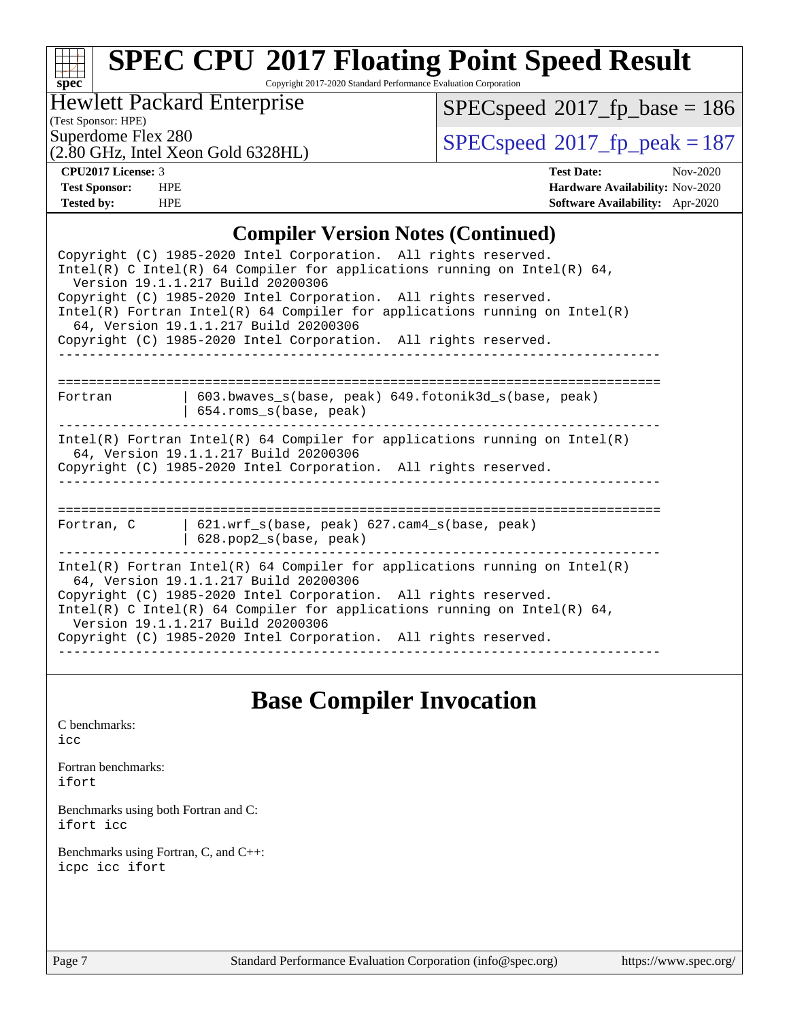#### **[spec](http://www.spec.org/) [SPEC CPU](http://www.spec.org/auto/cpu2017/Docs/result-fields.html#SPECCPU2017FloatingPointSpeedResult)[2017 Floating Point Speed Result](http://www.spec.org/auto/cpu2017/Docs/result-fields.html#SPECCPU2017FloatingPointSpeedResult)** Copyright 2017-2020 Standard Performance Evaluation Corporation

#### Hewlett Packard Enterprise

(Test Sponsor: HPE)

 $SPECspeed*2017_fp\_base = 186$  $SPECspeed*2017_fp\_base = 186$ 

(2.80 GHz, Intel Xeon Gold 6328HL)

Superdome Flex 280<br> $(2.80 \text{ GHz})$  [SPECspeed](http://www.spec.org/auto/cpu2017/Docs/result-fields.html#SPECspeed2017fppeak)®[2017\\_fp\\_peak = 1](http://www.spec.org/auto/cpu2017/Docs/result-fields.html#SPECspeed2017fppeak)87

**[CPU2017 License:](http://www.spec.org/auto/cpu2017/Docs/result-fields.html#CPU2017License)** 3 **[Test Date:](http://www.spec.org/auto/cpu2017/Docs/result-fields.html#TestDate)** Nov-2020 **[Test Sponsor:](http://www.spec.org/auto/cpu2017/Docs/result-fields.html#TestSponsor)** HPE **[Hardware Availability:](http://www.spec.org/auto/cpu2017/Docs/result-fields.html#HardwareAvailability)** Nov-2020 **[Tested by:](http://www.spec.org/auto/cpu2017/Docs/result-fields.html#Testedby)** HPE **[Software Availability:](http://www.spec.org/auto/cpu2017/Docs/result-fields.html#SoftwareAvailability)** Apr-2020

#### **[Compiler Version Notes \(Continued\)](http://www.spec.org/auto/cpu2017/Docs/result-fields.html#CompilerVersionNotes)**

| Copyright (C) 1985-2020 Intel Corporation. All rights reserved.<br>Intel(R) C Intel(R) 64 Compiler for applications running on Intel(R) 64,<br>Version 19.1.1.217 Build 20200306                                                                                                                                                                                             |  |
|------------------------------------------------------------------------------------------------------------------------------------------------------------------------------------------------------------------------------------------------------------------------------------------------------------------------------------------------------------------------------|--|
| Copyright (C) 1985-2020 Intel Corporation. All rights reserved.<br>$Intel(R)$ Fortran Intel(R) 64 Compiler for applications running on Intel(R)<br>64, Version 19.1.1.217 Build 20200306                                                                                                                                                                                     |  |
| Copyright (C) 1985-2020 Intel Corporation. All rights reserved.                                                                                                                                                                                                                                                                                                              |  |
|                                                                                                                                                                                                                                                                                                                                                                              |  |
| 603.bwaves s(base, peak) 649.fotonik3d s(base, peak)<br>Fortran<br>654.roms s(base, peak)                                                                                                                                                                                                                                                                                    |  |
| $Intel(R)$ Fortran Intel(R) 64 Compiler for applications running on Intel(R)<br>64, Version 19.1.1.217 Build 20200306<br>Copyright (C) 1985-2020 Intel Corporation. All rights reserved.                                                                                                                                                                                     |  |
| Fortran, C<br>  $621.wrf$ s(base, peak) $627.cam4$ s(base, peak)<br>$628. pop2_s(base, peak)$                                                                                                                                                                                                                                                                                |  |
| $Intel(R)$ Fortran Intel(R) 64 Compiler for applications running on Intel(R)<br>64, Version 19.1.1.217 Build 20200306<br>Copyright (C) 1985-2020 Intel Corporation. All rights reserved.<br>Intel(R) C Intel(R) 64 Compiler for applications running on Intel(R) 64,<br>Version 19.1.1.217 Build 20200306<br>Copyright (C) 1985-2020 Intel Corporation. All rights reserved. |  |
|                                                                                                                                                                                                                                                                                                                                                                              |  |

### **[Base Compiler Invocation](http://www.spec.org/auto/cpu2017/Docs/result-fields.html#BaseCompilerInvocation)**

[C benchmarks](http://www.spec.org/auto/cpu2017/Docs/result-fields.html#Cbenchmarks): [icc](http://www.spec.org/cpu2017/results/res2020q4/cpu2017-20201207-24507.flags.html#user_CCbase_intel_icc_66fc1ee009f7361af1fbd72ca7dcefbb700085f36577c54f309893dd4ec40d12360134090235512931783d35fd58c0460139e722d5067c5574d8eaf2b3e37e92)

[Fortran benchmarks](http://www.spec.org/auto/cpu2017/Docs/result-fields.html#Fortranbenchmarks): [ifort](http://www.spec.org/cpu2017/results/res2020q4/cpu2017-20201207-24507.flags.html#user_FCbase_intel_ifort_8111460550e3ca792625aed983ce982f94888b8b503583aa7ba2b8303487b4d8a21a13e7191a45c5fd58ff318f48f9492884d4413fa793fd88dd292cad7027ca)

[Benchmarks using both Fortran and C](http://www.spec.org/auto/cpu2017/Docs/result-fields.html#BenchmarksusingbothFortranandC): [ifort](http://www.spec.org/cpu2017/results/res2020q4/cpu2017-20201207-24507.flags.html#user_CC_FCbase_intel_ifort_8111460550e3ca792625aed983ce982f94888b8b503583aa7ba2b8303487b4d8a21a13e7191a45c5fd58ff318f48f9492884d4413fa793fd88dd292cad7027ca) [icc](http://www.spec.org/cpu2017/results/res2020q4/cpu2017-20201207-24507.flags.html#user_CC_FCbase_intel_icc_66fc1ee009f7361af1fbd72ca7dcefbb700085f36577c54f309893dd4ec40d12360134090235512931783d35fd58c0460139e722d5067c5574d8eaf2b3e37e92)

[Benchmarks using Fortran, C, and C++:](http://www.spec.org/auto/cpu2017/Docs/result-fields.html#BenchmarksusingFortranCandCXX) [icpc](http://www.spec.org/cpu2017/results/res2020q4/cpu2017-20201207-24507.flags.html#user_CC_CXX_FCbase_intel_icpc_c510b6838c7f56d33e37e94d029a35b4a7bccf4766a728ee175e80a419847e808290a9b78be685c44ab727ea267ec2f070ec5dc83b407c0218cded6866a35d07) [icc](http://www.spec.org/cpu2017/results/res2020q4/cpu2017-20201207-24507.flags.html#user_CC_CXX_FCbase_intel_icc_66fc1ee009f7361af1fbd72ca7dcefbb700085f36577c54f309893dd4ec40d12360134090235512931783d35fd58c0460139e722d5067c5574d8eaf2b3e37e92) [ifort](http://www.spec.org/cpu2017/results/res2020q4/cpu2017-20201207-24507.flags.html#user_CC_CXX_FCbase_intel_ifort_8111460550e3ca792625aed983ce982f94888b8b503583aa7ba2b8303487b4d8a21a13e7191a45c5fd58ff318f48f9492884d4413fa793fd88dd292cad7027ca)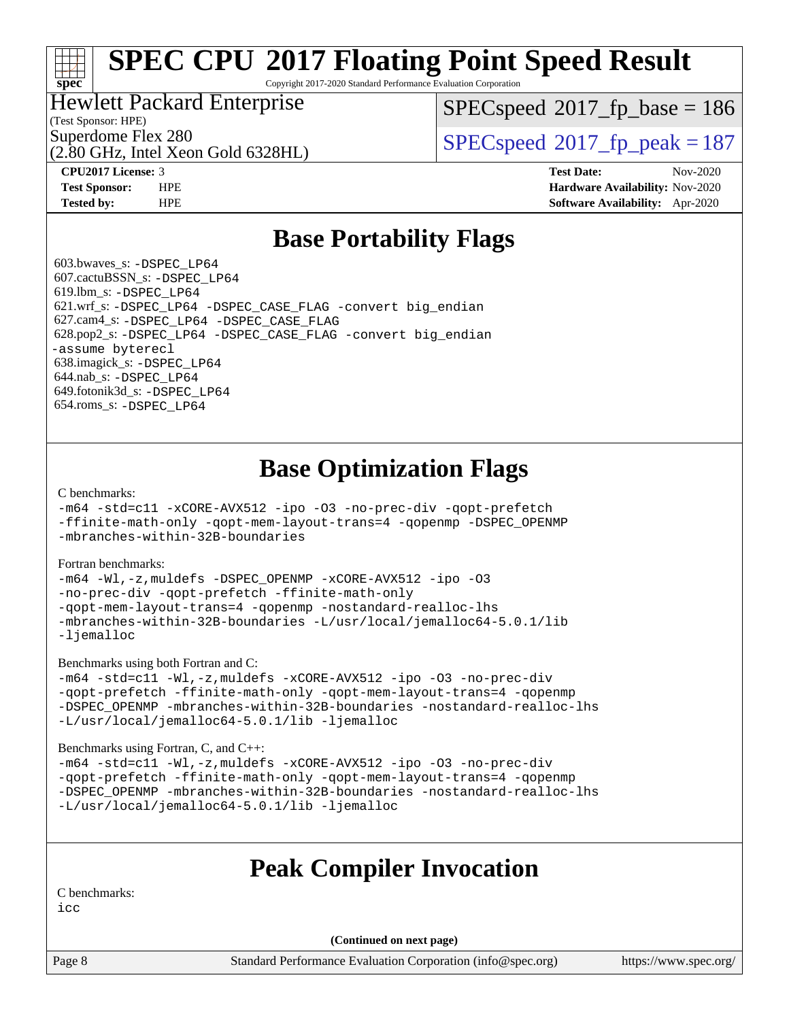Copyright 2017-2020 Standard Performance Evaluation Corporation

#### Hewlett Packard Enterprise

(Test Sponsor: HPE)

**[spec](http://www.spec.org/)**

[SPECspeed](http://www.spec.org/auto/cpu2017/Docs/result-fields.html#SPECspeed2017fpbase)<sup>®</sup>2017 fp base = 186

(2.80 GHz, Intel Xeon Gold 6328HL)

Superdome Flex 280<br>  $SPEC speed^{\circ}2017$  fp\_peak = 187

**[CPU2017 License:](http://www.spec.org/auto/cpu2017/Docs/result-fields.html#CPU2017License)** 3 **[Test Date:](http://www.spec.org/auto/cpu2017/Docs/result-fields.html#TestDate)** Nov-2020 **[Test Sponsor:](http://www.spec.org/auto/cpu2017/Docs/result-fields.html#TestSponsor)** HPE **[Hardware Availability:](http://www.spec.org/auto/cpu2017/Docs/result-fields.html#HardwareAvailability)** Nov-2020 **[Tested by:](http://www.spec.org/auto/cpu2017/Docs/result-fields.html#Testedby)** HPE **[Software Availability:](http://www.spec.org/auto/cpu2017/Docs/result-fields.html#SoftwareAvailability)** Apr-2020

### **[Base Portability Flags](http://www.spec.org/auto/cpu2017/Docs/result-fields.html#BasePortabilityFlags)**

 603.bwaves\_s: [-DSPEC\\_LP64](http://www.spec.org/cpu2017/results/res2020q4/cpu2017-20201207-24507.flags.html#suite_basePORTABILITY603_bwaves_s_DSPEC_LP64) 607.cactuBSSN\_s: [-DSPEC\\_LP64](http://www.spec.org/cpu2017/results/res2020q4/cpu2017-20201207-24507.flags.html#suite_basePORTABILITY607_cactuBSSN_s_DSPEC_LP64) 619.lbm\_s: [-DSPEC\\_LP64](http://www.spec.org/cpu2017/results/res2020q4/cpu2017-20201207-24507.flags.html#suite_basePORTABILITY619_lbm_s_DSPEC_LP64) 621.wrf\_s: [-DSPEC\\_LP64](http://www.spec.org/cpu2017/results/res2020q4/cpu2017-20201207-24507.flags.html#suite_basePORTABILITY621_wrf_s_DSPEC_LP64) [-DSPEC\\_CASE\\_FLAG](http://www.spec.org/cpu2017/results/res2020q4/cpu2017-20201207-24507.flags.html#b621.wrf_s_baseCPORTABILITY_DSPEC_CASE_FLAG) [-convert big\\_endian](http://www.spec.org/cpu2017/results/res2020q4/cpu2017-20201207-24507.flags.html#user_baseFPORTABILITY621_wrf_s_convert_big_endian_c3194028bc08c63ac5d04de18c48ce6d347e4e562e8892b8bdbdc0214820426deb8554edfa529a3fb25a586e65a3d812c835984020483e7e73212c4d31a38223) 627.cam4\_s: [-DSPEC\\_LP64](http://www.spec.org/cpu2017/results/res2020q4/cpu2017-20201207-24507.flags.html#suite_basePORTABILITY627_cam4_s_DSPEC_LP64) [-DSPEC\\_CASE\\_FLAG](http://www.spec.org/cpu2017/results/res2020q4/cpu2017-20201207-24507.flags.html#b627.cam4_s_baseCPORTABILITY_DSPEC_CASE_FLAG) 628.pop2\_s: [-DSPEC\\_LP64](http://www.spec.org/cpu2017/results/res2020q4/cpu2017-20201207-24507.flags.html#suite_basePORTABILITY628_pop2_s_DSPEC_LP64) [-DSPEC\\_CASE\\_FLAG](http://www.spec.org/cpu2017/results/res2020q4/cpu2017-20201207-24507.flags.html#b628.pop2_s_baseCPORTABILITY_DSPEC_CASE_FLAG) [-convert big\\_endian](http://www.spec.org/cpu2017/results/res2020q4/cpu2017-20201207-24507.flags.html#user_baseFPORTABILITY628_pop2_s_convert_big_endian_c3194028bc08c63ac5d04de18c48ce6d347e4e562e8892b8bdbdc0214820426deb8554edfa529a3fb25a586e65a3d812c835984020483e7e73212c4d31a38223) [-assume byterecl](http://www.spec.org/cpu2017/results/res2020q4/cpu2017-20201207-24507.flags.html#user_baseFPORTABILITY628_pop2_s_assume_byterecl_7e47d18b9513cf18525430bbf0f2177aa9bf368bc7a059c09b2c06a34b53bd3447c950d3f8d6c70e3faf3a05c8557d66a5798b567902e8849adc142926523472) 638.imagick\_s: [-DSPEC\\_LP64](http://www.spec.org/cpu2017/results/res2020q4/cpu2017-20201207-24507.flags.html#suite_basePORTABILITY638_imagick_s_DSPEC_LP64) 644.nab\_s: [-DSPEC\\_LP64](http://www.spec.org/cpu2017/results/res2020q4/cpu2017-20201207-24507.flags.html#suite_basePORTABILITY644_nab_s_DSPEC_LP64) 649.fotonik3d\_s: [-DSPEC\\_LP64](http://www.spec.org/cpu2017/results/res2020q4/cpu2017-20201207-24507.flags.html#suite_basePORTABILITY649_fotonik3d_s_DSPEC_LP64) 654.roms\_s: [-DSPEC\\_LP64](http://www.spec.org/cpu2017/results/res2020q4/cpu2017-20201207-24507.flags.html#suite_basePORTABILITY654_roms_s_DSPEC_LP64)

### **[Base Optimization Flags](http://www.spec.org/auto/cpu2017/Docs/result-fields.html#BaseOptimizationFlags)**

[C benchmarks](http://www.spec.org/auto/cpu2017/Docs/result-fields.html#Cbenchmarks):

[-m64](http://www.spec.org/cpu2017/results/res2020q4/cpu2017-20201207-24507.flags.html#user_CCbase_m64-icc) [-std=c11](http://www.spec.org/cpu2017/results/res2020q4/cpu2017-20201207-24507.flags.html#user_CCbase_std-icc-std_0e1c27790398a4642dfca32ffe6c27b5796f9c2d2676156f2e42c9c44eaad0c049b1cdb667a270c34d979996257aeb8fc440bfb01818dbc9357bd9d174cb8524) [-xCORE-AVX512](http://www.spec.org/cpu2017/results/res2020q4/cpu2017-20201207-24507.flags.html#user_CCbase_f-xCORE-AVX512) [-ipo](http://www.spec.org/cpu2017/results/res2020q4/cpu2017-20201207-24507.flags.html#user_CCbase_f-ipo) [-O3](http://www.spec.org/cpu2017/results/res2020q4/cpu2017-20201207-24507.flags.html#user_CCbase_f-O3) [-no-prec-div](http://www.spec.org/cpu2017/results/res2020q4/cpu2017-20201207-24507.flags.html#user_CCbase_f-no-prec-div) [-qopt-prefetch](http://www.spec.org/cpu2017/results/res2020q4/cpu2017-20201207-24507.flags.html#user_CCbase_f-qopt-prefetch) [-ffinite-math-only](http://www.spec.org/cpu2017/results/res2020q4/cpu2017-20201207-24507.flags.html#user_CCbase_f_finite_math_only_cb91587bd2077682c4b38af759c288ed7c732db004271a9512da14a4f8007909a5f1427ecbf1a0fb78ff2a814402c6114ac565ca162485bbcae155b5e4258871) [-qopt-mem-layout-trans=4](http://www.spec.org/cpu2017/results/res2020q4/cpu2017-20201207-24507.flags.html#user_CCbase_f-qopt-mem-layout-trans_fa39e755916c150a61361b7846f310bcdf6f04e385ef281cadf3647acec3f0ae266d1a1d22d972a7087a248fd4e6ca390a3634700869573d231a252c784941a8) [-qopenmp](http://www.spec.org/cpu2017/results/res2020q4/cpu2017-20201207-24507.flags.html#user_CCbase_qopenmp_16be0c44f24f464004c6784a7acb94aca937f053568ce72f94b139a11c7c168634a55f6653758ddd83bcf7b8463e8028bb0b48b77bcddc6b78d5d95bb1df2967) [-DSPEC\\_OPENMP](http://www.spec.org/cpu2017/results/res2020q4/cpu2017-20201207-24507.flags.html#suite_CCbase_DSPEC_OPENMP) [-mbranches-within-32B-boundaries](http://www.spec.org/cpu2017/results/res2020q4/cpu2017-20201207-24507.flags.html#user_CCbase_f-mbranches-within-32B-boundaries)

[Fortran benchmarks](http://www.spec.org/auto/cpu2017/Docs/result-fields.html#Fortranbenchmarks):

[-m64](http://www.spec.org/cpu2017/results/res2020q4/cpu2017-20201207-24507.flags.html#user_FCbase_m64-icc) [-Wl,-z,muldefs](http://www.spec.org/cpu2017/results/res2020q4/cpu2017-20201207-24507.flags.html#user_FCbase_link_force_multiple1_b4cbdb97b34bdee9ceefcfe54f4c8ea74255f0b02a4b23e853cdb0e18eb4525ac79b5a88067c842dd0ee6996c24547a27a4b99331201badda8798ef8a743f577) [-DSPEC\\_OPENMP](http://www.spec.org/cpu2017/results/res2020q4/cpu2017-20201207-24507.flags.html#suite_FCbase_DSPEC_OPENMP) [-xCORE-AVX512](http://www.spec.org/cpu2017/results/res2020q4/cpu2017-20201207-24507.flags.html#user_FCbase_f-xCORE-AVX512) [-ipo](http://www.spec.org/cpu2017/results/res2020q4/cpu2017-20201207-24507.flags.html#user_FCbase_f-ipo) [-O3](http://www.spec.org/cpu2017/results/res2020q4/cpu2017-20201207-24507.flags.html#user_FCbase_f-O3) [-no-prec-div](http://www.spec.org/cpu2017/results/res2020q4/cpu2017-20201207-24507.flags.html#user_FCbase_f-no-prec-div) [-qopt-prefetch](http://www.spec.org/cpu2017/results/res2020q4/cpu2017-20201207-24507.flags.html#user_FCbase_f-qopt-prefetch) [-ffinite-math-only](http://www.spec.org/cpu2017/results/res2020q4/cpu2017-20201207-24507.flags.html#user_FCbase_f_finite_math_only_cb91587bd2077682c4b38af759c288ed7c732db004271a9512da14a4f8007909a5f1427ecbf1a0fb78ff2a814402c6114ac565ca162485bbcae155b5e4258871) [-qopt-mem-layout-trans=4](http://www.spec.org/cpu2017/results/res2020q4/cpu2017-20201207-24507.flags.html#user_FCbase_f-qopt-mem-layout-trans_fa39e755916c150a61361b7846f310bcdf6f04e385ef281cadf3647acec3f0ae266d1a1d22d972a7087a248fd4e6ca390a3634700869573d231a252c784941a8) [-qopenmp](http://www.spec.org/cpu2017/results/res2020q4/cpu2017-20201207-24507.flags.html#user_FCbase_qopenmp_16be0c44f24f464004c6784a7acb94aca937f053568ce72f94b139a11c7c168634a55f6653758ddd83bcf7b8463e8028bb0b48b77bcddc6b78d5d95bb1df2967) [-nostandard-realloc-lhs](http://www.spec.org/cpu2017/results/res2020q4/cpu2017-20201207-24507.flags.html#user_FCbase_f_2003_std_realloc_82b4557e90729c0f113870c07e44d33d6f5a304b4f63d4c15d2d0f1fab99f5daaed73bdb9275d9ae411527f28b936061aa8b9c8f2d63842963b95c9dd6426b8a) [-mbranches-within-32B-boundaries](http://www.spec.org/cpu2017/results/res2020q4/cpu2017-20201207-24507.flags.html#user_FCbase_f-mbranches-within-32B-boundaries) [-L/usr/local/jemalloc64-5.0.1/lib](http://www.spec.org/cpu2017/results/res2020q4/cpu2017-20201207-24507.flags.html#user_FCbase_jemalloc_link_path64_1_cc289568b1a6c0fd3b62c91b824c27fcb5af5e8098e6ad028160d21144ef1b8aef3170d2acf0bee98a8da324cfe4f67d0a3d0c4cc4673d993d694dc2a0df248b) [-ljemalloc](http://www.spec.org/cpu2017/results/res2020q4/cpu2017-20201207-24507.flags.html#user_FCbase_jemalloc_link_lib_d1249b907c500fa1c0672f44f562e3d0f79738ae9e3c4a9c376d49f265a04b9c99b167ecedbf6711b3085be911c67ff61f150a17b3472be731631ba4d0471706)

[Benchmarks using both Fortran and C](http://www.spec.org/auto/cpu2017/Docs/result-fields.html#BenchmarksusingbothFortranandC):

[-m64](http://www.spec.org/cpu2017/results/res2020q4/cpu2017-20201207-24507.flags.html#user_CC_FCbase_m64-icc) [-std=c11](http://www.spec.org/cpu2017/results/res2020q4/cpu2017-20201207-24507.flags.html#user_CC_FCbase_std-icc-std_0e1c27790398a4642dfca32ffe6c27b5796f9c2d2676156f2e42c9c44eaad0c049b1cdb667a270c34d979996257aeb8fc440bfb01818dbc9357bd9d174cb8524) [-Wl,-z,muldefs](http://www.spec.org/cpu2017/results/res2020q4/cpu2017-20201207-24507.flags.html#user_CC_FCbase_link_force_multiple1_b4cbdb97b34bdee9ceefcfe54f4c8ea74255f0b02a4b23e853cdb0e18eb4525ac79b5a88067c842dd0ee6996c24547a27a4b99331201badda8798ef8a743f577) [-xCORE-AVX512](http://www.spec.org/cpu2017/results/res2020q4/cpu2017-20201207-24507.flags.html#user_CC_FCbase_f-xCORE-AVX512) [-ipo](http://www.spec.org/cpu2017/results/res2020q4/cpu2017-20201207-24507.flags.html#user_CC_FCbase_f-ipo) [-O3](http://www.spec.org/cpu2017/results/res2020q4/cpu2017-20201207-24507.flags.html#user_CC_FCbase_f-O3) [-no-prec-div](http://www.spec.org/cpu2017/results/res2020q4/cpu2017-20201207-24507.flags.html#user_CC_FCbase_f-no-prec-div) [-qopt-prefetch](http://www.spec.org/cpu2017/results/res2020q4/cpu2017-20201207-24507.flags.html#user_CC_FCbase_f-qopt-prefetch) [-ffinite-math-only](http://www.spec.org/cpu2017/results/res2020q4/cpu2017-20201207-24507.flags.html#user_CC_FCbase_f_finite_math_only_cb91587bd2077682c4b38af759c288ed7c732db004271a9512da14a4f8007909a5f1427ecbf1a0fb78ff2a814402c6114ac565ca162485bbcae155b5e4258871) [-qopt-mem-layout-trans=4](http://www.spec.org/cpu2017/results/res2020q4/cpu2017-20201207-24507.flags.html#user_CC_FCbase_f-qopt-mem-layout-trans_fa39e755916c150a61361b7846f310bcdf6f04e385ef281cadf3647acec3f0ae266d1a1d22d972a7087a248fd4e6ca390a3634700869573d231a252c784941a8) [-qopenmp](http://www.spec.org/cpu2017/results/res2020q4/cpu2017-20201207-24507.flags.html#user_CC_FCbase_qopenmp_16be0c44f24f464004c6784a7acb94aca937f053568ce72f94b139a11c7c168634a55f6653758ddd83bcf7b8463e8028bb0b48b77bcddc6b78d5d95bb1df2967) [-DSPEC\\_OPENMP](http://www.spec.org/cpu2017/results/res2020q4/cpu2017-20201207-24507.flags.html#suite_CC_FCbase_DSPEC_OPENMP) [-mbranches-within-32B-boundaries](http://www.spec.org/cpu2017/results/res2020q4/cpu2017-20201207-24507.flags.html#user_CC_FCbase_f-mbranches-within-32B-boundaries) [-nostandard-realloc-lhs](http://www.spec.org/cpu2017/results/res2020q4/cpu2017-20201207-24507.flags.html#user_CC_FCbase_f_2003_std_realloc_82b4557e90729c0f113870c07e44d33d6f5a304b4f63d4c15d2d0f1fab99f5daaed73bdb9275d9ae411527f28b936061aa8b9c8f2d63842963b95c9dd6426b8a) [-L/usr/local/jemalloc64-5.0.1/lib](http://www.spec.org/cpu2017/results/res2020q4/cpu2017-20201207-24507.flags.html#user_CC_FCbase_jemalloc_link_path64_1_cc289568b1a6c0fd3b62c91b824c27fcb5af5e8098e6ad028160d21144ef1b8aef3170d2acf0bee98a8da324cfe4f67d0a3d0c4cc4673d993d694dc2a0df248b) [-ljemalloc](http://www.spec.org/cpu2017/results/res2020q4/cpu2017-20201207-24507.flags.html#user_CC_FCbase_jemalloc_link_lib_d1249b907c500fa1c0672f44f562e3d0f79738ae9e3c4a9c376d49f265a04b9c99b167ecedbf6711b3085be911c67ff61f150a17b3472be731631ba4d0471706)

[Benchmarks using Fortran, C, and C++:](http://www.spec.org/auto/cpu2017/Docs/result-fields.html#BenchmarksusingFortranCandCXX)

```
-m64 -std=c11 -Wl,-z,muldefs -xCORE-AVX512 -ipo -O3 -no-prec-div
-qopt-prefetch -ffinite-math-only -qopt-mem-layout-trans=4 -qopenmp
-DSPEC_OPENMP -mbranches-within-32B-boundaries -nostandard-realloc-lhs
-L/usr/local/jemalloc64-5.0.1/lib -ljemalloc
```
### **[Peak Compiler Invocation](http://www.spec.org/auto/cpu2017/Docs/result-fields.html#PeakCompilerInvocation)**

[C benchmarks:](http://www.spec.org/auto/cpu2017/Docs/result-fields.html#Cbenchmarks)

[icc](http://www.spec.org/cpu2017/results/res2020q4/cpu2017-20201207-24507.flags.html#user_CCpeak_intel_icc_66fc1ee009f7361af1fbd72ca7dcefbb700085f36577c54f309893dd4ec40d12360134090235512931783d35fd58c0460139e722d5067c5574d8eaf2b3e37e92)

**(Continued on next page)**

Page 8 Standard Performance Evaluation Corporation [\(info@spec.org\)](mailto:info@spec.org) <https://www.spec.org/>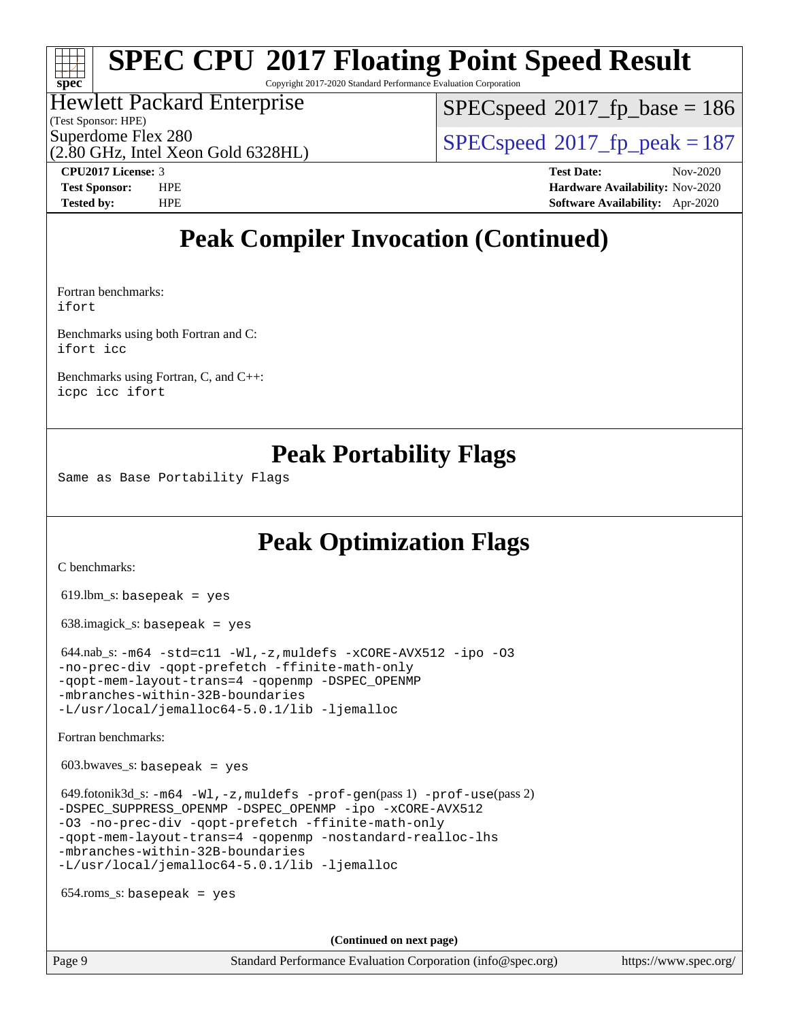# **[spec](http://www.spec.org/)**

# **[SPEC CPU](http://www.spec.org/auto/cpu2017/Docs/result-fields.html#SPECCPU2017FloatingPointSpeedResult)[2017 Floating Point Speed Result](http://www.spec.org/auto/cpu2017/Docs/result-fields.html#SPECCPU2017FloatingPointSpeedResult)**

Copyright 2017-2020 Standard Performance Evaluation Corporation

#### Hewlett Packard Enterprise

(Test Sponsor: HPE)

(2.80 GHz, Intel Xeon Gold 6328HL)

[SPECspeed](http://www.spec.org/auto/cpu2017/Docs/result-fields.html#SPECspeed2017fpbase)<sup>®</sup>2017 fp base = 186

Superdome Flex 280<br>  $SPEC speed^{\circ}2017$  fp\_peak = 187

**[CPU2017 License:](http://www.spec.org/auto/cpu2017/Docs/result-fields.html#CPU2017License)** 3 **[Test Date:](http://www.spec.org/auto/cpu2017/Docs/result-fields.html#TestDate)** Nov-2020 **[Test Sponsor:](http://www.spec.org/auto/cpu2017/Docs/result-fields.html#TestSponsor)** HPE **[Hardware Availability:](http://www.spec.org/auto/cpu2017/Docs/result-fields.html#HardwareAvailability)** Nov-2020 **[Tested by:](http://www.spec.org/auto/cpu2017/Docs/result-fields.html#Testedby)** HPE **[Software Availability:](http://www.spec.org/auto/cpu2017/Docs/result-fields.html#SoftwareAvailability)** Apr-2020

### **[Peak Compiler Invocation \(Continued\)](http://www.spec.org/auto/cpu2017/Docs/result-fields.html#PeakCompilerInvocation)**

[Fortran benchmarks:](http://www.spec.org/auto/cpu2017/Docs/result-fields.html#Fortranbenchmarks) [ifort](http://www.spec.org/cpu2017/results/res2020q4/cpu2017-20201207-24507.flags.html#user_FCpeak_intel_ifort_8111460550e3ca792625aed983ce982f94888b8b503583aa7ba2b8303487b4d8a21a13e7191a45c5fd58ff318f48f9492884d4413fa793fd88dd292cad7027ca)

[Benchmarks using both Fortran and C:](http://www.spec.org/auto/cpu2017/Docs/result-fields.html#BenchmarksusingbothFortranandC) [ifort](http://www.spec.org/cpu2017/results/res2020q4/cpu2017-20201207-24507.flags.html#user_CC_FCpeak_intel_ifort_8111460550e3ca792625aed983ce982f94888b8b503583aa7ba2b8303487b4d8a21a13e7191a45c5fd58ff318f48f9492884d4413fa793fd88dd292cad7027ca) [icc](http://www.spec.org/cpu2017/results/res2020q4/cpu2017-20201207-24507.flags.html#user_CC_FCpeak_intel_icc_66fc1ee009f7361af1fbd72ca7dcefbb700085f36577c54f309893dd4ec40d12360134090235512931783d35fd58c0460139e722d5067c5574d8eaf2b3e37e92)

[Benchmarks using Fortran, C, and C++](http://www.spec.org/auto/cpu2017/Docs/result-fields.html#BenchmarksusingFortranCandCXX): [icpc](http://www.spec.org/cpu2017/results/res2020q4/cpu2017-20201207-24507.flags.html#user_CC_CXX_FCpeak_intel_icpc_c510b6838c7f56d33e37e94d029a35b4a7bccf4766a728ee175e80a419847e808290a9b78be685c44ab727ea267ec2f070ec5dc83b407c0218cded6866a35d07) [icc](http://www.spec.org/cpu2017/results/res2020q4/cpu2017-20201207-24507.flags.html#user_CC_CXX_FCpeak_intel_icc_66fc1ee009f7361af1fbd72ca7dcefbb700085f36577c54f309893dd4ec40d12360134090235512931783d35fd58c0460139e722d5067c5574d8eaf2b3e37e92) [ifort](http://www.spec.org/cpu2017/results/res2020q4/cpu2017-20201207-24507.flags.html#user_CC_CXX_FCpeak_intel_ifort_8111460550e3ca792625aed983ce982f94888b8b503583aa7ba2b8303487b4d8a21a13e7191a45c5fd58ff318f48f9492884d4413fa793fd88dd292cad7027ca)

### **[Peak Portability Flags](http://www.spec.org/auto/cpu2017/Docs/result-fields.html#PeakPortabilityFlags)**

Same as Base Portability Flags

## **[Peak Optimization Flags](http://www.spec.org/auto/cpu2017/Docs/result-fields.html#PeakOptimizationFlags)**

[C benchmarks](http://www.spec.org/auto/cpu2017/Docs/result-fields.html#Cbenchmarks):

619.lbm\_s: basepeak = yes

638.imagick\_s: basepeak = yes

 $644.nab$ \_s:  $-m64$   $-std= c11$   $-Wl$ ,  $-z$ , muldefs  $-xCORE-AVX512$   $-ipo$   $-03$ [-no-prec-div](http://www.spec.org/cpu2017/results/res2020q4/cpu2017-20201207-24507.flags.html#user_peakCOPTIMIZE644_nab_s_f-no-prec-div) [-qopt-prefetch](http://www.spec.org/cpu2017/results/res2020q4/cpu2017-20201207-24507.flags.html#user_peakCOPTIMIZE644_nab_s_f-qopt-prefetch) [-ffinite-math-only](http://www.spec.org/cpu2017/results/res2020q4/cpu2017-20201207-24507.flags.html#user_peakCOPTIMIZE644_nab_s_f_finite_math_only_cb91587bd2077682c4b38af759c288ed7c732db004271a9512da14a4f8007909a5f1427ecbf1a0fb78ff2a814402c6114ac565ca162485bbcae155b5e4258871) [-qopt-mem-layout-trans=4](http://www.spec.org/cpu2017/results/res2020q4/cpu2017-20201207-24507.flags.html#user_peakCOPTIMIZE644_nab_s_f-qopt-mem-layout-trans_fa39e755916c150a61361b7846f310bcdf6f04e385ef281cadf3647acec3f0ae266d1a1d22d972a7087a248fd4e6ca390a3634700869573d231a252c784941a8) [-qopenmp](http://www.spec.org/cpu2017/results/res2020q4/cpu2017-20201207-24507.flags.html#user_peakCOPTIMIZE644_nab_s_qopenmp_16be0c44f24f464004c6784a7acb94aca937f053568ce72f94b139a11c7c168634a55f6653758ddd83bcf7b8463e8028bb0b48b77bcddc6b78d5d95bb1df2967) [-DSPEC\\_OPENMP](http://www.spec.org/cpu2017/results/res2020q4/cpu2017-20201207-24507.flags.html#suite_peakCOPTIMIZE644_nab_s_DSPEC_OPENMP) [-mbranches-within-32B-boundaries](http://www.spec.org/cpu2017/results/res2020q4/cpu2017-20201207-24507.flags.html#user_peakEXTRA_COPTIMIZE644_nab_s_f-mbranches-within-32B-boundaries) [-L/usr/local/jemalloc64-5.0.1/lib](http://www.spec.org/cpu2017/results/res2020q4/cpu2017-20201207-24507.flags.html#user_peakEXTRA_LIBS644_nab_s_jemalloc_link_path64_1_cc289568b1a6c0fd3b62c91b824c27fcb5af5e8098e6ad028160d21144ef1b8aef3170d2acf0bee98a8da324cfe4f67d0a3d0c4cc4673d993d694dc2a0df248b) [-ljemalloc](http://www.spec.org/cpu2017/results/res2020q4/cpu2017-20201207-24507.flags.html#user_peakEXTRA_LIBS644_nab_s_jemalloc_link_lib_d1249b907c500fa1c0672f44f562e3d0f79738ae9e3c4a9c376d49f265a04b9c99b167ecedbf6711b3085be911c67ff61f150a17b3472be731631ba4d0471706)

[Fortran benchmarks](http://www.spec.org/auto/cpu2017/Docs/result-fields.html#Fortranbenchmarks):

603.bwaves\_s: basepeak = yes

 $649.60$ tonik3d\_s:  $-m64 -Wl$  $-m64 -Wl$ ,  $-z$ , muldefs  $-prof-qen(pass 1)$   $-prof-use(pass 2)$  $-prof-use(pass 2)$ [-DSPEC\\_SUPPRESS\\_OPENMP](http://www.spec.org/cpu2017/results/res2020q4/cpu2017-20201207-24507.flags.html#suite_peakPASS1_FOPTIMIZE649_fotonik3d_s_DSPEC_SUPPRESS_OPENMP) [-DSPEC\\_OPENMP](http://www.spec.org/cpu2017/results/res2020q4/cpu2017-20201207-24507.flags.html#suite_peakPASS2_FOPTIMIZE649_fotonik3d_s_DSPEC_OPENMP) [-ipo](http://www.spec.org/cpu2017/results/res2020q4/cpu2017-20201207-24507.flags.html#user_peakPASS1_FOPTIMIZEPASS2_FOPTIMIZE649_fotonik3d_s_f-ipo) [-xCORE-AVX512](http://www.spec.org/cpu2017/results/res2020q4/cpu2017-20201207-24507.flags.html#user_peakPASS2_FOPTIMIZE649_fotonik3d_s_f-xCORE-AVX512) [-O3](http://www.spec.org/cpu2017/results/res2020q4/cpu2017-20201207-24507.flags.html#user_peakPASS1_FOPTIMIZEPASS2_FOPTIMIZE649_fotonik3d_s_f-O3) [-no-prec-div](http://www.spec.org/cpu2017/results/res2020q4/cpu2017-20201207-24507.flags.html#user_peakPASS1_FOPTIMIZEPASS2_FOPTIMIZE649_fotonik3d_s_f-no-prec-div) [-qopt-prefetch](http://www.spec.org/cpu2017/results/res2020q4/cpu2017-20201207-24507.flags.html#user_peakPASS1_FOPTIMIZEPASS2_FOPTIMIZE649_fotonik3d_s_f-qopt-prefetch) [-ffinite-math-only](http://www.spec.org/cpu2017/results/res2020q4/cpu2017-20201207-24507.flags.html#user_peakPASS1_FOPTIMIZEPASS2_FOPTIMIZE649_fotonik3d_s_f_finite_math_only_cb91587bd2077682c4b38af759c288ed7c732db004271a9512da14a4f8007909a5f1427ecbf1a0fb78ff2a814402c6114ac565ca162485bbcae155b5e4258871) [-qopt-mem-layout-trans=4](http://www.spec.org/cpu2017/results/res2020q4/cpu2017-20201207-24507.flags.html#user_peakPASS1_FOPTIMIZEPASS2_FOPTIMIZE649_fotonik3d_s_f-qopt-mem-layout-trans_fa39e755916c150a61361b7846f310bcdf6f04e385ef281cadf3647acec3f0ae266d1a1d22d972a7087a248fd4e6ca390a3634700869573d231a252c784941a8) [-qopenmp](http://www.spec.org/cpu2017/results/res2020q4/cpu2017-20201207-24507.flags.html#user_peakPASS2_FOPTIMIZE649_fotonik3d_s_qopenmp_16be0c44f24f464004c6784a7acb94aca937f053568ce72f94b139a11c7c168634a55f6653758ddd83bcf7b8463e8028bb0b48b77bcddc6b78d5d95bb1df2967) [-nostandard-realloc-lhs](http://www.spec.org/cpu2017/results/res2020q4/cpu2017-20201207-24507.flags.html#user_peakEXTRA_FOPTIMIZE649_fotonik3d_s_f_2003_std_realloc_82b4557e90729c0f113870c07e44d33d6f5a304b4f63d4c15d2d0f1fab99f5daaed73bdb9275d9ae411527f28b936061aa8b9c8f2d63842963b95c9dd6426b8a) [-mbranches-within-32B-boundaries](http://www.spec.org/cpu2017/results/res2020q4/cpu2017-20201207-24507.flags.html#user_peakEXTRA_FOPTIMIZE649_fotonik3d_s_f-mbranches-within-32B-boundaries) [-L/usr/local/jemalloc64-5.0.1/lib](http://www.spec.org/cpu2017/results/res2020q4/cpu2017-20201207-24507.flags.html#user_peakEXTRA_LIBS649_fotonik3d_s_jemalloc_link_path64_1_cc289568b1a6c0fd3b62c91b824c27fcb5af5e8098e6ad028160d21144ef1b8aef3170d2acf0bee98a8da324cfe4f67d0a3d0c4cc4673d993d694dc2a0df248b) [-ljemalloc](http://www.spec.org/cpu2017/results/res2020q4/cpu2017-20201207-24507.flags.html#user_peakEXTRA_LIBS649_fotonik3d_s_jemalloc_link_lib_d1249b907c500fa1c0672f44f562e3d0f79738ae9e3c4a9c376d49f265a04b9c99b167ecedbf6711b3085be911c67ff61f150a17b3472be731631ba4d0471706)

654.roms\_s: basepeak = yes

**(Continued on next page)**